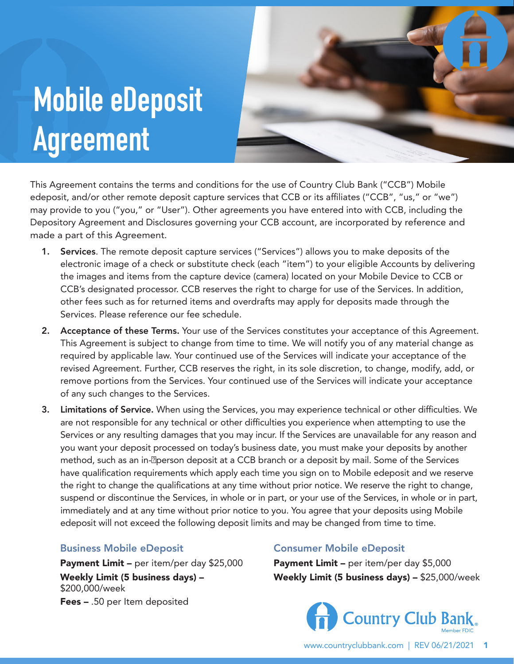## **Mobile eDeposit Agreement**



This Agreement contains the terms and conditions for the use of Country Club Bank ("CCB") Mobile edeposit, and/or other remote deposit capture services that CCB or its affiliates ("CCB", "us," or "we") may provide to you ("you," or "User"). Other agreements you have entered into with CCB, including the Depository Agreement and Disclosures governing your CCB account, are incorporated by reference and made a part of this Agreement.

- 1. Services. The remote deposit capture services ("Services") allows you to make deposits of the electronic image of a check or substitute check (each "item") to your eligible Accounts by delivering the images and items from the capture device (camera) located on your Mobile Device to CCB or CCB's designated processor. CCB reserves the right to charge for use of the Services. In addition, other fees such as for returned items and overdrafts may apply for deposits made through the Services. Please reference our fee schedule.
- 2. Acceptance of these Terms. Your use of the Services constitutes your acceptance of this Agreement. This Agreement is subject to change from time to time. We will notify you of any material change as required by applicable law. Your continued use of the Services will indicate your acceptance of the revised Agreement. Further, CCB reserves the right, in its sole discretion, to change, modify, add, or remove portions from the Services. Your continued use of the Services will indicate your acceptance of any such changes to the Services.
- 3. Limitations of Service. When using the Services, you may experience technical or other difficulties. We are not responsible for any technical or other difficulties you experience when attempting to use the Services or any resulting damages that you may incur. If the Services are unavailable for any reason and you want your deposit processed on today's business date, you must make your deposits by another method, such as an in-*Deerson deposit at a CCB* branch or a deposit by mail. Some of the Services have qualification requirements which apply each time you sign on to Mobile edeposit and we reserve the right to change the qualifications at any time without prior notice. We reserve the right to change, suspend or discontinue the Services, in whole or in part, or your use of the Services, in whole or in part, immediately and at any time without prior notice to you. You agree that your deposits using Mobile edeposit will not exceed the following deposit limits and may be changed from time to time.

## Business Mobile eDeposit

Payment Limit - per item/per day \$25,000 Weekly Limit (5 business days) – \$200,000/week Fees – .50 per Item deposited

## Consumer Mobile eDeposit

Payment Limit – per item/per day \$5,000 Weekly Limit (5 business days) – \$25,000/week

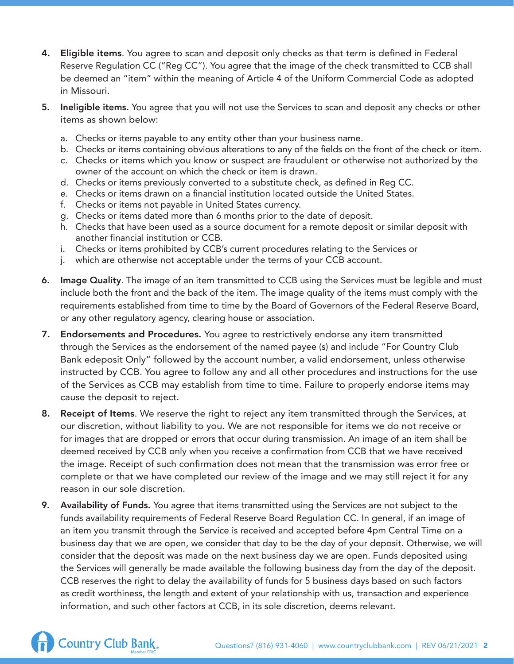- 4. Eligible items. You agree to scan and deposit only checks as that term is defined in Federal Reserve Regulation CC ("Reg CC"). You agree that the image of the check transmitted to CCB shall be deemed an "item" within the meaning of Article 4 of the Uniform Commercial Code as adopted in Missouri.
- 5. Ineligible items. You agree that you will not use the Services to scan and deposit any checks or other items as shown below:
	- a. Checks or items payable to any entity other than your business name.
	- b. Checks or items containing obvious alterations to any of the fields on the front of the check or item.
	- c. Checks or items which you know or suspect are fraudulent or otherwise not authorized by the owner of the account on which the check or item is drawn.
	- d. Checks or items previously converted to a substitute check, as defined in Reg CC.
	- e. Checks or items drawn on a financial institution located outside the United States.
	- f. Checks or items not payable in United States currency.
	- g. Checks or items dated more than 6 months prior to the date of deposit.
	- h. Checks that have been used as a source document for a remote deposit or similar deposit with another financial institution or CCB.
	- i. Checks or items prohibited by CCB's current procedures relating to the Services or
	- j. which are otherwise not acceptable under the terms of your CCB account.
- 6. Image Quality. The image of an item transmitted to CCB using the Services must be legible and must include both the front and the back of the item. The image quality of the items must comply with the requirements established from time to time by the Board of Governors of the Federal Reserve Board, or any other regulatory agency, clearing house or association.
- 7. Endorsements and Procedures. You agree to restrictively endorse any item transmitted through the Services as the endorsement of the named payee (s) and include "For Country Club Bank edeposit Only" followed by the account number, a valid endorsement, unless otherwise instructed by CCB. You agree to follow any and all other procedures and instructions for the use of the Services as CCB may establish from time to time. Failure to properly endorse items may cause the deposit to reject.
- 8. Receipt of Items. We reserve the right to reject any item transmitted through the Services, at our discretion, without liability to you. We are not responsible for items we do not receive or for images that are dropped or errors that occur during transmission. An image of an item shall be deemed received by CCB only when you receive a confirmation from CCB that we have received the image. Receipt of such confirmation does not mean that the transmission was error free or complete or that we have completed our review of the image and we may still reject it for any reason in our sole discretion.
- **9.** Availability of Funds. You agree that items transmitted using the Services are not subject to the funds availability requirements of Federal Reserve Board Regulation CC. In general, if an image of an item you transmit through the Service is received and accepted before 4pm Central Time on a business day that we are open, we consider that day to be the day of your deposit. Otherwise, we will consider that the deposit was made on the next business day we are open. Funds deposited using the Services will generally be made available the following business day from the day of the deposit. CCB reserves the right to delay the availability of funds for 5 business days based on such factors as credit worthiness, the length and extent of your relationship with us, transaction and experience information, and such other factors at CCB, in its sole discretion, deems relevant.

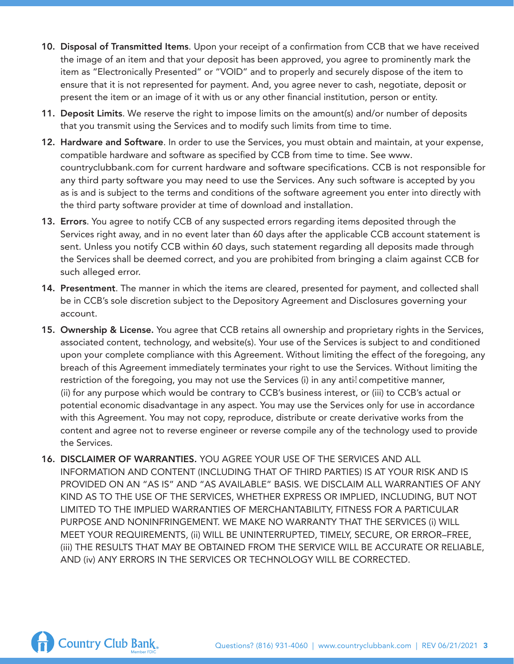- 10. Disposal of Transmitted Items. Upon your receipt of a confirmation from CCB that we have received the image of an item and that your deposit has been approved, you agree to prominently mark the item as "Electronically Presented" or "VOID" and to properly and securely dispose of the item to ensure that it is not represented for payment. And, you agree never to cash, negotiate, deposit or present the item or an image of it with us or any other financial institution, person or entity.
- 11. Deposit Limits. We reserve the right to impose limits on the amount(s) and/or number of deposits that you transmit using the Services and to modify such limits from time to time.
- 12. Hardware and Software. In order to use the Services, you must obtain and maintain, at your expense, compatible hardware and software as specified by CCB from time to time. See [www.](http://www.countryclubbank.com/) [countryclubbank.com](http://www.countryclubbank.com/) for current hardware and software specifications. CCB is not responsible for any third party software you may need to use the Services. Any such software is accepted by you as is and is subject to the terms and conditions of the software agreement you enter into directly with the third party software provider at time of download and installation.
- 13. Errors. You agree to notify CCB of any suspected errors regarding items deposited through the Services right away, and in no event later than 60 days after the applicable CCB account statement is sent. Unless you notify CCB within 60 days, such statement regarding all deposits made through the Services shall be deemed correct, and you are prohibited from bringing a claim against CCB for such alleged error.
- 14. Presentment. The manner in which the items are cleared, presented for payment, and collected shall be in CCB's sole discretion subject to the Depository Agreement and Disclosures governing your account.
- 15. Ownership & License. You agree that CCB retains all ownership and proprietary rights in the Services, associated content, technology, and website(s). Your use of the Services is subject to and conditioned upon your complete compliance with this Agreement. Without limiting the effect of the foregoing, any breach of this Agreement immediately terminates your right to use the Services. Without limiting the restriction of the foregoing, you may not use the Services (i) in any antil competitive manner, (ii) for any purpose which would be contrary to CCB's business interest, or (iii) to CCB's actual or potential economic disadvantage in any aspect. You may use the Services only for use in accordance with this Agreement. You may not copy, reproduce, distribute or create derivative works from the content and agree not to reverse engineer or reverse compile any of the technology used to provide the Services.
- 16. DISCLAIMER OF WARRANTIES. YOU AGREE YOUR USE OF THE SERVICES AND ALL INFORMATION AND CONTENT (INCLUDING THAT OF THIRD PARTIES) IS AT YOUR RISK AND IS PROVIDED ON AN "AS IS" AND "AS AVAILABLE" BASIS. WE DISCLAIM ALL WARRANTIES OF ANY KIND AS TO THE USE OF THE SERVICES, WHETHER EXPRESS OR IMPLIED, INCLUDING, BUT NOT LIMITED TO THE IMPLIED WARRANTIES OF MERCHANTABILITY, FITNESS FOR A PARTICULAR PURPOSE AND NONINFRINGEMENT. WE MAKE NO WARRANTY THAT THE SERVICES (i) WILL MEET YOUR REQUIREMENTS, (ii) WILL BE UNINTERRUPTED, TIMELY, SECURE, OR ERROR–FREE, (iii) THE RESULTS THAT MAY BE OBTAINED FROM THE SERVICE WILL BE ACCURATE OR RELIABLE, AND (iv) ANY ERRORS IN THE SERVICES OR TECHNOLOGY WILL BE CORRECTED.